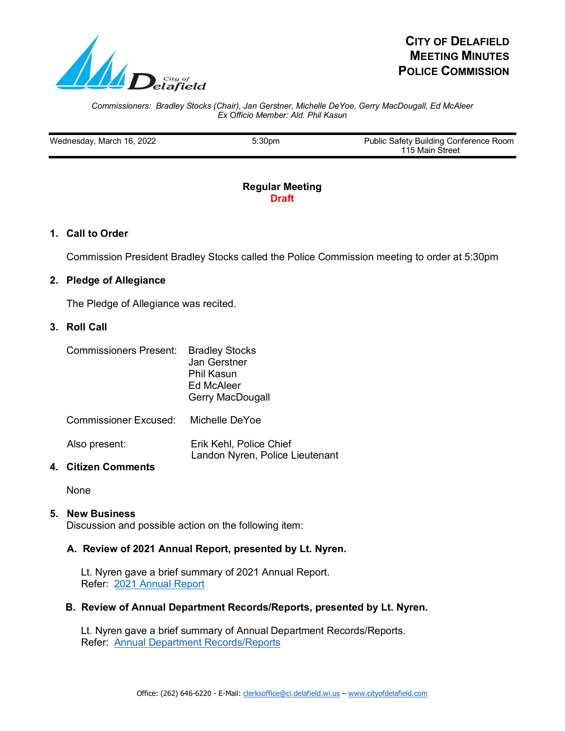

# **CITY OF DELAFIELD MEETING MINUTES POLICE COMMISSION**

#### *Commissioners: Bradley Stocks (Chair), Jan Gerstner, Michelle DeYoe, Gerry MacDougall, Ed McAleer Ex Officio Member: Ald. Phil Kasun*

| Wednesday, March 16, 2022 | 5:30 <sub>pm</sub> | Public Safety Building Conference Room |
|---------------------------|--------------------|----------------------------------------|
|                           |                    | 115 Main Street                        |
|                           |                    |                                        |

### **Regular Meeting Draft**

# **1. Call to Order**

Commission President Bradley Stocks called the Police Commission meeting to order at 5:30pm

# **2. Pledge of Allegiance**

The Pledge of Allegiance was recited.

#### **3. Roll Call**

| Commissioners Present: Bradley Stocks |  |
|---------------------------------------|--|
|---------------------------------------|--|

| <u>o onninooloni oloni vooditu</u> | P<br>Jan Gerstner<br>Phil Kasun<br>Ed McAleer<br><b>Gerry MacDougall</b> |
|------------------------------------|--------------------------------------------------------------------------|
| <b>Commissioner Excused:</b>       | Michelle DeYoe                                                           |
| Also present:                      | Erik Kehl, Police Chief<br>Landon Nyren, Police Lieutenant               |

#### **4. Citizen Comments**

None

# **5. New Business**

Discussion and possible action on the following item:

# **A. Review of 2021 Annual Report, presented by Lt. Nyren.**

Lt. Nyren gave a brief summary of 2021 Annual Report. Refer: 2021 Annual Report

#### **B. Review of Annual Department Records/Reports, presented by Lt. Nyren.**

Lt. Nyren gave a brief summary of Annual Department Records/Reports. Refer: Annual Department Records/Reports